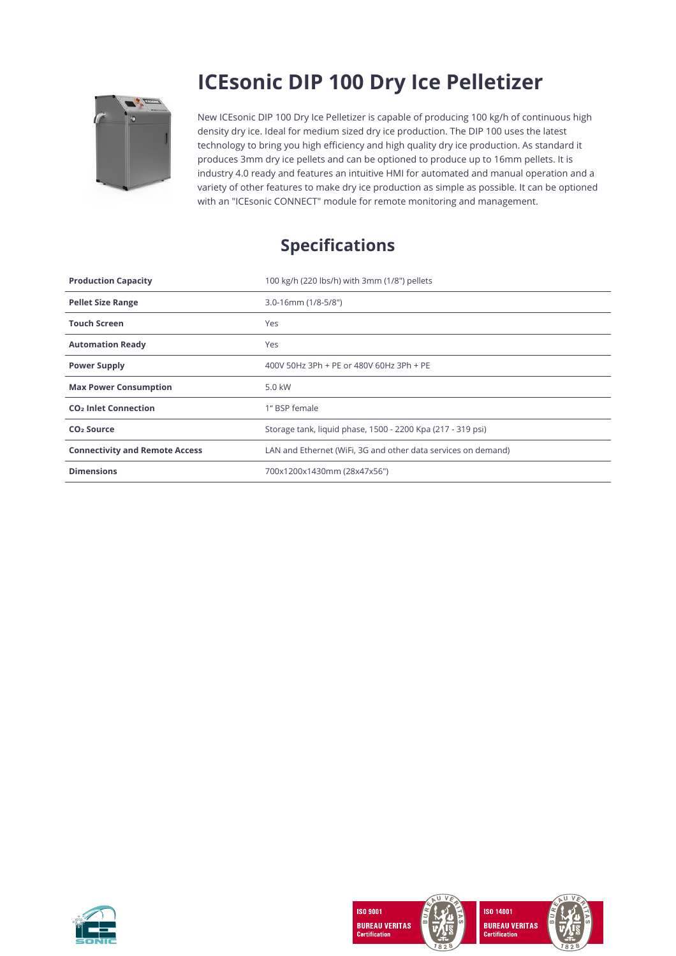

## **ICEsonic DIP 100 Dry Ice Pelletizer**

New ICEsonic DIP 100 Dry Ice Pelletizer is capable of producing 100 kg/h of continuous high density dry ice. Ideal for medium sized dry ice production. The DIP 100 uses the latest technology to bring you high efficiency and high quality dry ice production. As standard it produces 3mm dry ice pellets and can be optioned to produce up to 16mm pellets. It is industry 4.0 ready and features an intuitive HMI for automated and manual operation and a variety of other features to make dry ice production as simple as possible. It can be optioned with an "ICEsonic CONNECT" module for remote monitoring and management.

## **Specifications**

| <b>Production Capacity</b>             | 100 kg/h (220 lbs/h) with 3mm (1/8") pellets                  |
|----------------------------------------|---------------------------------------------------------------|
| <b>Pellet Size Range</b>               | $3.0 - 16$ mm $(1/8 - 5/8")$                                  |
| <b>Touch Screen</b>                    | Yes                                                           |
| <b>Automation Ready</b>                | Yes                                                           |
| <b>Power Supply</b>                    | 400V 50Hz 3Ph + PE or 480V 60Hz 3Ph + PE                      |
| <b>Max Power Consumption</b>           | 5.0 kW                                                        |
| <b>CO<sub>2</sub></b> Inlet Connection | 1" BSP female                                                 |
| CO <sub>2</sub> Source                 | Storage tank, liquid phase, 1500 - 2200 Kpa (217 - 319 psi)   |
| <b>Connectivity and Remote Access</b>  | LAN and Ethernet (WiFi, 3G and other data services on demand) |
| <b>Dimensions</b>                      | 700x1200x1430mm (28x47x56")                                   |